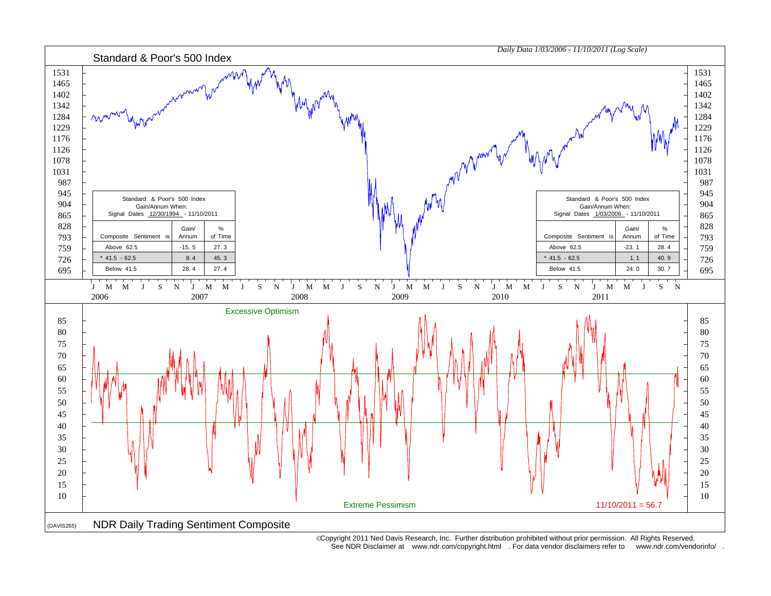

 Copyright 2011 Ned Davis Research, Inc. Further distribution prohibited without prior permission. All Rights Reserved. See NDR Disclaimer at www.ndr.com/copyright.html . For data vendor disclaimers refer to www.ndr.com/vendorinfo/ .